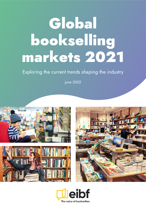# Global bookselling markets 2021

### Exploring the current trends shaping the industry

June 2022





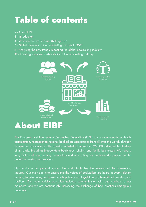## Table of contents

- 2 About EIBF
- 3 Introduction
- 4 What can we learn from 2021 figures?
- 6 Global overview of the bookselling markets in 2021
- 8 Analysing the new trends impacting the global bookselling industry
- 12 Ensuring long-term sustainability of the bookselling industry



The European and International Booksellers Federation (EIBF) is a non-commercial umbrella organization, representing national booksellers associations from all over the world. Through its member associations, EIBF speaks on behalf of more than 25.000 individual booksellers of all kinds, including independent bookshops, chains, and family businesses. We have a long history of representing booksellers and advocating for book-friendly policies to the benefit of readers and retailers.

EIBF works in Europe and around the world to further the interests of the bookselling industry. Our main aim is to ensure that the voices of booksellers are heard in every relevant debate, by advocating for book-friendly policies and legislation that benefit both readers and retailers. Our main activity area also includes communication with and services to our members, and we are continuously increasing the exchange of best practices among our members.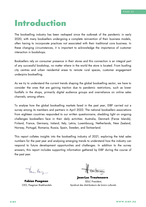### Introduction

The bookselling industry has been reshaped since the outbreak of the pandemic in early 2020, with many booksellers undergoing a complete reinvention of their business models, often having to incorporate practices not associated with their traditional core business. In these changing circumstances, it is important to acknowledge the importance of customer interaction in bookshops.

Booksellers rely on consumer presence in their stores and this connection is an integral part of any successful bookshop, no matter where in the world the store is located. From bustling city centres and urban residential areas to remote rural spaces, customer engagement underpins bookselling.

As we try to understand the current trends shaping the global bookselling sector, we have to consider the ones that are gaining traction due to pandemic restrictions, such as lower footfalls in the shops, primarily digital audience groups and overreliance on online sales channels, among others.

To analyse how the global bookselling markets fared in the past year, EIBF carried out a survey among its members and partners in April 2022. The national booksellers associations from eighteen countries responded to our written questionnaire, shedding light on ongoing challenges booksellers face in their daily activities: Australia, Denmark (Faroe Islands), Finland, France, Germany, Ireland, Italy, Latvia, Luxembourg, Netherlands, New Zealand, Norway, Portugal, Romania, Russia, Spain, Sweden, and Switzerland.

This report collates insights into the bookselling industry of 2021, exploring the total sales numbers for the past year and analysing emerging trends to understand how the industry can respond to future development opportunities and challenges. In addition to the survey answers, this report includes supporting information gathered by EIBF during the course of the past year.

Fan Pay

Fabian Paagman CEO, Paagman Boekhandels

Jean-Luc Treutenaere SDLC President, Syndicat des distributeurs de loisirs culturels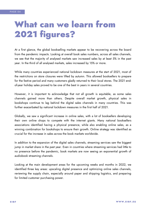### What can we learn from 2021 figures?

At a first glance, the global bookselling markets appear to be recovering across the board from the pandemic impacts. Looking at overall book sales numbers, across all sales channels, we see that the majority of analysed markets saw increased sales by at least 5% in the past year. In the third of all analysed markets, sales increased by 15% or more.

While many countries experienced national lockdown measures at the start of 2021, most of the restrictions on store closures were lifted by autumn. This allowed booksellers to prepare for the festive period and many customers gladly returned to their local stores. The 2021 endof-year holiday sales proved to be one of the best in years in several countries.

However, it is important to acknowledge that not all growth is equitable, as some sales channels gained more than others. Despite overall market growth, physical sales in bookshops continue to lag behind the digital sales channels in many countries. This was further exacerbated by national lockdown measures in the first half of 2021.

Globally, we saw a significant increase in online sales, with a lot of booksellers developing their own online shops to compete with the internet giants. Many national booksellers associations identified having a physical presence, while also enabling online sales, as a winning combination for bookshops to ensure their growth. Online strategy was identified as crucial for the increase in sales across the book markets worldwide.

In addition to the expansion of the digital sales channels, streaming services saw the biggest jump in market share in the past year. Even in countries where streaming services had little to no presence before the pandemic, book markets are now seeing an exponential growth of audiobook streaming channels.

Looking at the main development areas for the upcoming weeks and months in 2022, we identified three key areas: upscaling digital presence and optimizing online sales channels, reviewing the supply chain, especially around paper and shipping logistics, and preparing for limited customer purchasing power.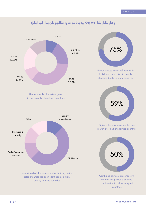

#### Global bookselling markets 2021 highlights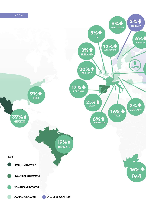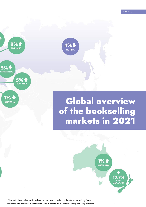PAGE 07







**1% 4 AUSTRIA** 

### Global overview of the bookselling markets in 2021



\* The Swiss book sales are based on the numbers provided by the German-speaking Swiss Publishers and Booksellers Association. The numbers for the whole country are likely different.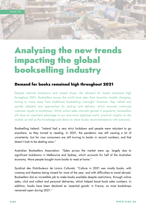

### Analysing the new trends impacting the global bookselling industry

#### Demand for books remained high throughout 2021

Despite national lockdowns and closed shops, the demand for books remained high throughout 2021. Booksellers across the world have seen their business models changing, having to move away from traditional bookselling overnight. However, they rallied and quickly adopted new approaches for pick-up and delivery, which ensured continued customer loyalty to bookshops. While online sales channels gained in popularity, booksellers still have an important advantage in our ever-more digitized world: practical insights on the market, as well as the knowledge and desire to share books recommendations with everyone.

Bookselling Ireland: "Ireland had a very strict lockdown and people were reluctant to go anywhere, so they turned to reading. In 2021, the pandemic was still causing a lot of uncertainty, but for now consumers are still turning to books in record numbers, and that doesn't look to be abating soon."

Australian Booksellers Association: "Sales across the market were up, largely due to significant lockdowns in Melbourne and Sydney, which accounts for half of the Australian economy. More people bought more books to read at home."

Syndicat des Distributeurs de Loisirs Culturels: "Culture in 2021 was mostly books, with cinemas and theatres being closed for most of the year, and with difficulties to travel abroad. Booksellers did an incredible job to make books available despite restrictions, through online sales, click and collect and personal deliveries, which helped boost book sales numbers. In addition, books have been declared as 'essential goods' in France, so most bookshops remained open during 2021."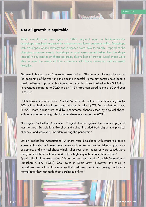#### Not all growth is equitable

While overall book sales grew in 2021, physical retail in brick-and-mortar bookshops remained impacted by lockdowns and lower customer traffic. Bookshops with developed online strategy and presence were able to quickly respond to the changing customer needs. Bookshops in rural areas coped better than the shops located in city centres or shopping areas, due to lack of crowds. Local shops were able to meet the needs of their customers with home deliveries and increased flexibility.

**Theory** 

German Publishers and Booksellers Association: "The months of store closures at the beginning of the year and the decline in footfall in the city centres have been a great challenge to physical bookstores in particular. They finished with a 3.1% drop in revenues compared to 2020 and an 11.5% drop compared to the pre-Covid year of 2019."

Dutch Booksellers Association: "In the Netherlands, online sales channels grew by 20%, while physical bookshops saw a decline in sales by 7%. For the first time ever, in 2021 more books were sold by e-commerce channels than by physical shops, with e-commerce gaining 6% of market share year-on-year in 2021."

Norwegian Booksellers Association: "Digital channels gained the most and physical lost the most. But solutions like click and collect included both digital and physical channels, and were very important during the pandemic."

Latvian Booksellers Association: "Winners were bookshops with improved online stores, with wide book assortment online and quicker and wider delivery options for customers, and physical shops which, after restriction measures were eased, were ready to meet their customers and deliver higher quality service than before."

Spanish Booksellers Association: "According to data from the Spanish Federation of Publishers Guilds (FGEE), book sales in Spain grew. However, the sales in bookstores saw a loss. It is obvious that customers continued buying books at a normal rate, they just made their purchases online."

PAGE 09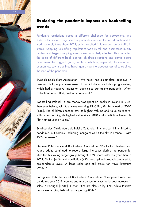



Pandemic restrictions posed a different challenge for booksellers, and wider retail sector. Large share of population around the world continued to work remotely throughout 2021, which resulted in lower consumer traffic in stores. Adapting to shifting regulations took its toll and businesses in city centers and larger shopping areas were particularly affected. This impacted the sales of different book genres: children's sections and comic books have seen the biggest gains, while non-fiction, especially business and economics, saw a decline. Travel genre saw the steepest loss of sales since the start of the pandemic.

Swedish Booksellers Association: "We never had a complete lockdown in Sweden, but people were asked to avoid stores and shopping centers, which had a negative impact on book sales during the pandemic. When restrictions were lifted, customers returned."

Bookselling Ireland: "More money was spent on books in Ireland in 2021 than ever before, with total sales reaching €165.9m, €4.4m ahead of 2020 (+3%). The children's section saw its highest volume and value on record, with fiction earning its highest value since 2010 and non-fiction having its fifth-highest year by value."

Syndicat des Distributeurs de Loisirs Culturels: "It is unclear if it is linked to pandemic, but comics, including manga sales hit the sky in France – with 108% increase."

German Publishers and Booksellers Association: "Books for children and young adults continued to record large increases during the pandemic: titles for this young target group brought in 9% more sales last year than in 2019. Fiction (+4%) and non-fiction (+2%) also gained ground compared to pre-pandemic levels. A large sales gap still exists for travel literature (-26%)."

Portuguese Publishers and Booksellers Association: "Compared with prepandemic year 2019, comics and manga section saw the largest increase in sales in Portugal (+68%). Fiction titles are also up by +7%, while tourism books are lagging behind by staggering -80%."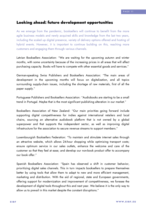#### Looking ahead: future development opportunities

As we emerge from the pandemic, booksellers will continue to benefit from the more agile business models and newly acquired skills and knowledge from the last two years, including the scaled up digital presence, variety of delivery options offered and hosting of hybrid events. However, it is important to continue building on this, reaching more customers and engaging them through various channels.

Latvian Booksellers Association: "We are waiting for the upcoming autumn and winter months, with some uncertainty because of the increasing prices in all areas that will affect purchasing capacity. Books will have to compete with other essential goods and services."

German-speaking Swiss Publishers and Booksellers Association: "The main areas of development in the upcoming months will focus on digitalization, and all topics surrounding supply-chain issues, including the shortage of raw materials, first of all the paper supply."

Portuguese Publishers and Booksellers Association: "Audiobooks are starting to be a small trend in Portugal. Maybe that is the most significant publishing alteration in our market."

Booksellers Association of New Zealand: "Our main priorities going forward include supporting digital competitiveness for indies against international retailers and local chains, sourcing an alternative audiobook platform that is not owned by a global superpower and that supports the independent sector, as well as improving digital infrastructure for the association to secure revenue streams to support members."

Luxembourgish Booksellers Federation: "To maintain and stimulate internet sales through an attractive website, which allows 24-hour shopping while optimizing transport costs; ensure optimum service in our sales outlets, enhance the welcome and care of the customer so that they feel at ease; and develop our non-book product offer to accompany our book offer."

Spanish Booksellers Association: "Spain has observed a shift in customer behavior, prioritizing digital sales channels. This in turn impacts booksellers to prepare themselves better by using tools that allow them to adapt to new and more efficient management, marketing and distribution. With the aid of regional, state and European governments, offering support for modernization and improvement of competitiveness, we foresee the development of digital tools throughout this and next year. We believe it is the only way to allow us to prevail in this market despite the constant disruptions."